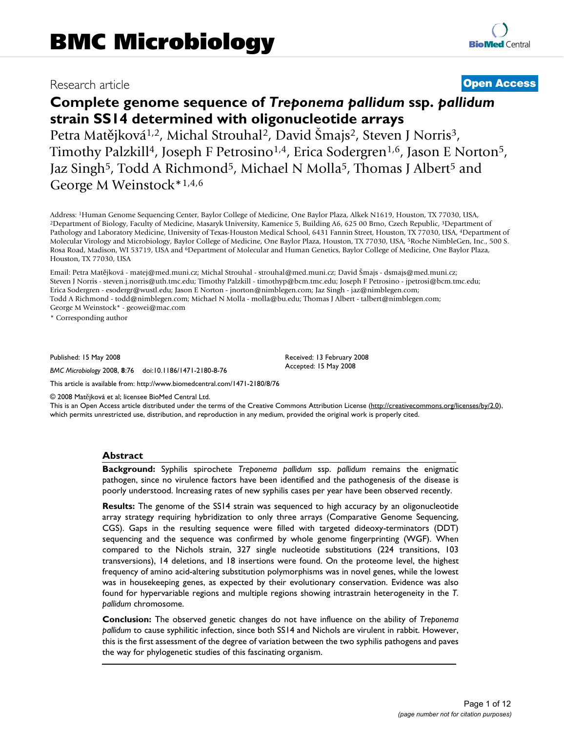# Research article **Open Access**

# **Complete genome sequence of** *Treponema pallidum* **ssp.** *pallidum*  **strain SS14 determined with oligonucleotide arrays** Petra Matějková<sup>1,2</sup>, Michal Strouhal<sup>2</sup>, David Šmajs<sup>2</sup>, Steven J Norris<sup>3</sup>,

Timothy Palzkill<sup>4</sup>, Joseph F Petrosino<sup>1,4</sup>, Erica Sodergren<sup>1,6</sup>, Jason E Norton<sup>5</sup>, Jaz Singh<sup>5</sup>, Todd A Richmond<sup>5</sup>, Michael N Molla<sup>5</sup>, Thomas J Albert<sup>5</sup> and George M Weinstock\*1,4,6

Address: <sup>1</sup>Human Genome Sequencing Center, Baylor College of Medicine, One Baylor Plaza, Alkek N1619, Houston, TX 77030, USA,<br><sup>2</sup>Department of Biology, Faculty of Medicine, Masaryk University, Kamenice 5, Building A6, 625 Pathology and Laboratory Medicine, University of Texas-Houston Medical School, 6431 Fannin Street, Houston, TX 77030, USA, 4Department of Molecular Virology and Microbiology, Baylor College of Medicine, One Baylor Plaza, Houston, TX 77030, USA, 5Roche NimbleGen, Inc., 500 S. Rosa Road, Madison, WI 53719, USA and 6Department of Molecular and Human Genetics, Baylor College of Medicine, One Baylor Plaza, Houston, TX 77030, USA

Email: Petra Matějková - matej@med.muni.cz; Michal Strouhal - strouhal@med.muni.cz; David Šmajs - dsmajs@med.muni.cz; Steven J Norris - steven.j.norris@uth.tmc.edu; Timothy Palzkill - timothyp@bcm.tmc.edu; Joseph F Petrosino - jpetrosi@bcm.tmc.edu; Erica Sodergren - esodergr@wustl.edu; Jason E Norton - jnorton@nimblegen.com; Jaz Singh - jaz@nimblegen.com; Todd A Richmond - todd@nimblegen.com; Michael N Molla - molla@bu.edu; Thomas J Albert - talbert@nimblegen.com; George M Weinstock\* - geowei@mac.com

\* Corresponding author

Published: 15 May 2008

*BMC Microbiology* 2008, **8**:76 doi:10.1186/1471-2180-8-76

Received: 13 February 2008 Accepted: 15 May 2008

This article is available from: http://www.biomedcentral.com/1471-2180/8/76

© 2008 Matǭjková et al; licensee BioMed Central Ltd.

This is an Open Access article distributed under the terms of the Creative Commons Attribution License (http://creativecommons.org/licenses/by/2.0), which permits unrestricted use, distribution, and reproduction in any medium, provided the original work is properly cited.

# **Abstract**

**Background:** Syphilis spirochete *Treponema pallidum* ssp. *pallidum* remains the enigmatic pathogen, since no virulence factors have been identified and the pathogenesis of the disease is poorly understood. Increasing rates of new syphilis cases per year have been observed recently.

**Results:** The genome of the SS14 strain was sequenced to high accuracy by an oligonucleotide array strategy requiring hybridization to only three arrays (Comparative Genome Sequencing, CGS). Gaps in the resulting sequence were filled with targeted dideoxy-terminators (DDT) sequencing and the sequence was confirmed by whole genome fingerprinting (WGF). When compared to the Nichols strain, 327 single nucleotide substitutions (224 transitions, 103 transversions), 14 deletions, and 18 insertions were found. On the proteome level, the highest frequency of amino acid-altering substitution polymorphisms was in novel genes, while the lowest was in housekeeping genes, as expected by their evolutionary conservation. Evidence was also found for hypervariable regions and multiple regions showing intrastrain heterogeneity in the *T. pallidum* chromosome.

**Conclusion:** The observed genetic changes do not have influence on the ability of *Treponema pallidum* to cause syphilitic infection, since both SS14 and Nichols are virulent in rabbit. However, this is the first assessment of the degree of variation between the two syphilis pathogens and paves the way for phylogenetic studies of this fascinating organism.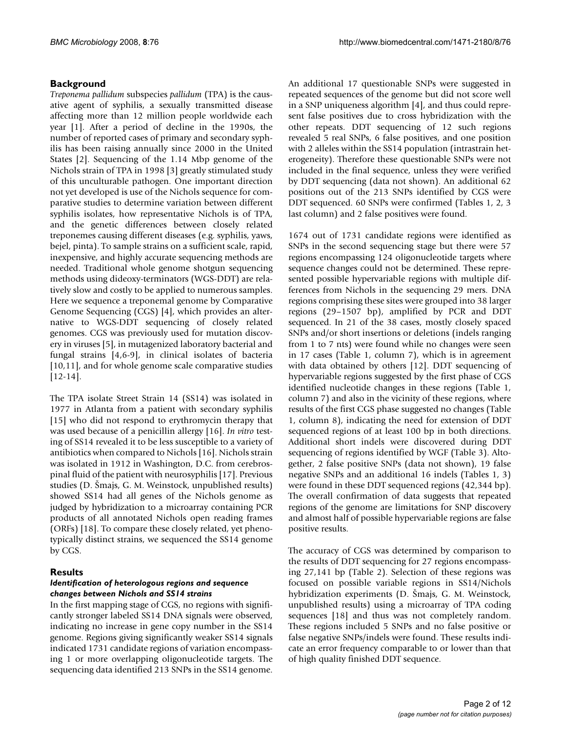# **Background**

*Treponema pallidum* subspecies *pallidum* (TPA) is the causative agent of syphilis, a sexually transmitted disease affecting more than 12 million people worldwide each year [1]. After a period of decline in the 1990s, the number of reported cases of primary and secondary syphilis has been raising annually since 2000 in the United States [2]. Sequencing of the 1.14 Mbp genome of the Nichols strain of TPA in 1998 [3] greatly stimulated study of this unculturable pathogen. One important direction not yet developed is use of the Nichols sequence for comparative studies to determine variation between different syphilis isolates, how representative Nichols is of TPA, and the genetic differences between closely related treponemes causing different diseases (e.g. syphilis, yaws, bejel, pinta). To sample strains on a sufficient scale, rapid, inexpensive, and highly accurate sequencing methods are needed. Traditional whole genome shotgun sequencing methods using dideoxy-terminators (WGS-DDT) are relatively slow and costly to be applied to numerous samples. Here we sequence a treponemal genome by Comparative Genome Sequencing (CGS) [4], which provides an alternative to WGS-DDT sequencing of closely related genomes. CGS was previously used for mutation discovery in viruses [5], in mutagenized laboratory bacterial and fungal strains [4,6-9], in clinical isolates of bacteria [10,11], and for whole genome scale comparative studies [12-14].

The TPA isolate Street Strain 14 (SS14) was isolated in 1977 in Atlanta from a patient with secondary syphilis [15] who did not respond to erythromycin therapy that was used because of a penicillin allergy [16]. *In vitro* testing of SS14 revealed it to be less susceptible to a variety of antibiotics when compared to Nichols [16]. Nichols strain was isolated in 1912 in Washington, D.C. from cerebrospinal fluid of the patient with neurosyphilis [17]. Previous studies (D. Šmajs, G. M. Weinstock, unpublished results) showed SS14 had all genes of the Nichols genome as judged by hybridization to a microarray containing PCR products of all annotated Nichols open reading frames (ORFs) [18]. To compare these closely related, yet phenotypically distinct strains, we sequenced the SS14 genome by CGS.

# **Results**

# *Identification of heterologous regions and sequence changes between Nichols and SS14 strains*

In the first mapping stage of CGS, no regions with significantly stronger labeled SS14 DNA signals were observed, indicating no increase in gene copy number in the SS14 genome. Regions giving significantly weaker SS14 signals indicated 1731 candidate regions of variation encompassing 1 or more overlapping oligonucleotide targets. The sequencing data identified 213 SNPs in the SS14 genome.

An additional 17 questionable SNPs were suggested in repeated sequences of the genome but did not score well in a SNP uniqueness algorithm [4], and thus could represent false positives due to cross hybridization with the other repeats. DDT sequencing of 12 such regions revealed 5 real SNPs, 6 false positives, and one position with 2 alleles within the SS14 population (intrastrain heterogeneity). Therefore these questionable SNPs were not included in the final sequence, unless they were verified by DDT sequencing (data not shown). An additional 62 positions out of the 213 SNPs identified by CGS were DDT sequenced. 60 SNPs were confirmed (Tables 1, 2, 3 last column) and 2 false positives were found.

1674 out of 1731 candidate regions were identified as SNPs in the second sequencing stage but there were 57 regions encompassing 124 oligonucleotide targets where sequence changes could not be determined. These represented possible hypervariable regions with multiple differences from Nichols in the sequencing 29 mers. DNA regions comprising these sites were grouped into 38 larger regions (29–1507 bp), amplified by PCR and DDT sequenced. In 21 of the 38 cases, mostly closely spaced SNPs and/or short insertions or deletions (indels ranging from 1 to 7 nts) were found while no changes were seen in 17 cases (Table 1, column 7), which is in agreement with data obtained by others [12]. DDT sequencing of hypervariable regions suggested by the first phase of CGS identified nucleotide changes in these regions (Table 1, column 7) and also in the vicinity of these regions, where results of the first CGS phase suggested no changes (Table 1, column 8), indicating the need for extension of DDT sequenced regions of at least 100 bp in both directions. Additional short indels were discovered during DDT sequencing of regions identified by WGF (Table 3). Altogether, 2 false positive SNPs (data not shown), 19 false negative SNPs and an additional 16 indels (Tables 1, 3) were found in these DDT sequenced regions (42,344 bp). The overall confirmation of data suggests that repeated regions of the genome are limitations for SNP discovery and almost half of possible hypervariable regions are false positive results.

The accuracy of CGS was determined by comparison to the results of DDT sequencing for 27 regions encompassing 27,141 bp (Table 2). Selection of these regions was focused on possible variable regions in SS14/Nichols hybridization experiments (D. Šmajs, G. M. Weinstock, unpublished results) using a microarray of TPA coding sequences [18] and thus was not completely random. These regions included 5 SNPs and no false positive or false negative SNPs/indels were found. These results indicate an error frequency comparable to or lower than that of high quality finished DDT sequence.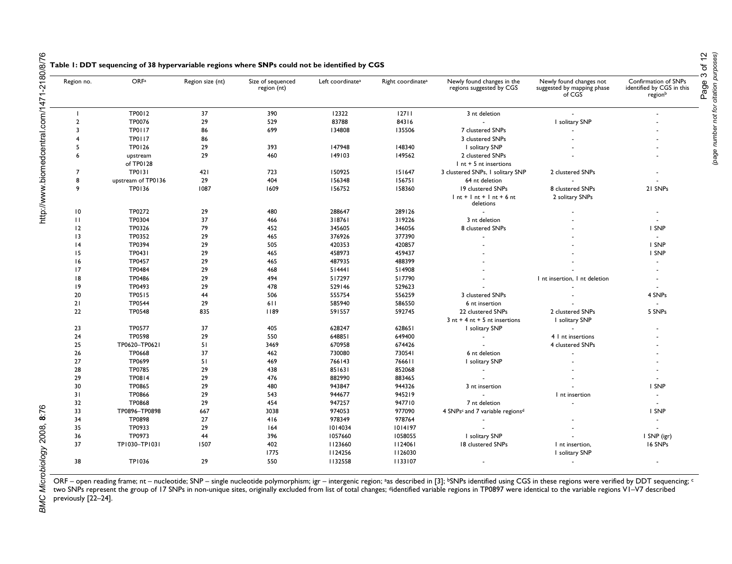| Region no.     | OR <sub>Fa</sub>   | Region size (nt) | Size of sequenced<br>region (nt) | Left coordinate <sup>a</sup> | Right coordinate <sup>a</sup> | Newly found changes in the<br>regions suggested by CGS  | Newly found changes not<br>suggested by mapping phase<br>of CGS | Confirmation of SNPs<br>identified by CGS in this<br>regionb |
|----------------|--------------------|------------------|----------------------------------|------------------------------|-------------------------------|---------------------------------------------------------|-----------------------------------------------------------------|--------------------------------------------------------------|
|                | TP0012             | 37               | 390                              | 12322                        | 12711                         | 3 nt deletion                                           |                                                                 |                                                              |
| $\overline{2}$ | TP0076             | 29               | 529                              | 83788                        | 84316                         |                                                         | I solitary SNP                                                  |                                                              |
| $\overline{3}$ | <b>TP0117</b>      | 86               | 699                              | 134808                       | 135506                        | 7 clustered SNPs                                        |                                                                 |                                                              |
| 4              | <b>TP0117</b>      | 86               |                                  |                              |                               | 3 clustered SNPs                                        |                                                                 |                                                              |
| 5              | TP0126             | 29               | 393                              | 147948                       | 148340                        | I solitary SNP                                          |                                                                 |                                                              |
| 6              | upstream           | 29               | 460                              | 149103                       | 149562                        | 2 clustered SNPs                                        |                                                                 |                                                              |
|                | of TP0128          |                  |                                  |                              |                               | $Int + 5$ nt insertions                                 |                                                                 |                                                              |
| $\overline{7}$ | <b>TP0131</b>      | 421              | 723                              | 150925                       | 151647                        | 3 clustered SNPs, I solitary SNP                        | 2 clustered SNPs                                                |                                                              |
| 8              | upstream of TP0136 | 29               | 404                              | 156348                       | 156751                        | 64 nt deletion                                          |                                                                 |                                                              |
| 9              | TP0136             | 1087             | 1609                             | 156752                       | 158360                        | 19 clustered SNPs                                       | 8 clustered SNPs                                                | 21 SNPs                                                      |
|                |                    |                  |                                  |                              |                               | $Int + Int + Int + 6$ nt<br>deletions                   | 2 solitary SNPs                                                 |                                                              |
| 10             | TP0272             | 29               | 480                              | 288647                       | 289126                        |                                                         |                                                                 |                                                              |
| $\mathbf{H}$   | TP0304             | 37               | 466                              | 318761                       | 319226                        | 3 nt deletion                                           |                                                                 |                                                              |
| 12             | TP0326             | 79               | 452                              | 345605                       | 346056                        | 8 clustered SNPs                                        |                                                                 | I SNP                                                        |
| 13             | TP0352             | 29               | 465                              | 376926                       | 377390                        |                                                         |                                                                 | $\sim$                                                       |
| 14             | TP0394             | 29               | 505                              | 420353                       | 420857                        |                                                         |                                                                 | I SNP                                                        |
| 15             | TP0431             | 29               | 465                              | 458973                       | 459437                        |                                                         |                                                                 | I SNP                                                        |
| 16             | <b>TP0457</b>      | 29               | 465                              | 487935                       | 488399                        |                                                         |                                                                 | $\sim$                                                       |
| 17             | <b>TP0484</b>      | 29               | 468                              | 514441                       | 514908                        |                                                         |                                                                 |                                                              |
| 18             | TP0486             | 29               | 494                              | 517297                       | 517790                        |                                                         | I nt insertion, I nt deletion                                   |                                                              |
| 9              | TP0493             | 29               | 478                              | 529146                       | 529623                        |                                                         |                                                                 |                                                              |
| 20             | TP0515             | 44               | 506                              | 555754                       | 556259                        | 3 clustered SNPs                                        |                                                                 | 4 SNPs                                                       |
| 21             | <b>TP0544</b>      | 29               | 611                              | 585940                       | 586550                        | 6 nt insertion                                          |                                                                 |                                                              |
| 22             | <b>TP0548</b>      | 835              | 1189                             | 591557                       | 592745                        | 22 clustered SNPs                                       | 2 clustered SNPs                                                | 5 SNPs                                                       |
|                |                    |                  |                                  |                              |                               | $3$ nt + 4 nt + 5 nt insertions                         | I solitary SNP                                                  |                                                              |
| 23             | TP0577             | 37               | 405                              | 628247                       | 628651                        | I solitary SNP                                          |                                                                 |                                                              |
| 24             | TP0598             | 29               | 550                              | 648851                       | 649400                        |                                                         | 4   nt insertions                                               |                                                              |
| 25             | TP0620-TP0621      | 51               | 3469                             | 670958                       | 674426                        |                                                         | 4 clustered SNPs                                                |                                                              |
| 26             | TP0668             | 37               | 462                              | 730080                       | 730541                        | 6 nt deletion                                           |                                                                 |                                                              |
| 27             | TP0699             | 51               | 469                              | 766143                       | 766611                        | I solitary SNP                                          |                                                                 |                                                              |
| 28             | <b>TP0785</b>      | 29               | 438                              | 851631                       | 852068                        |                                                         |                                                                 |                                                              |
| 29             | TP0814             | 29               | 476                              | 882990                       | 883465                        |                                                         |                                                                 |                                                              |
| 30             | TP0865             | 29               | 480                              | 943847                       | 944326                        | 3 nt insertion                                          |                                                                 | I SNP                                                        |
| 31             | TP0866             | 29               | 543                              | 944677                       | 945219                        |                                                         | I nt insertion                                                  | $\sim$                                                       |
| 32             | <b>TP0868</b>      | 29               | 454                              | 947257                       | 947710                        | 7 nt deletion                                           |                                                                 | $\sim$                                                       |
| 33             | TP0896-TP0898      | 667              | 3038                             | 974053                       | 977090                        | 4 SNPs <sup>c</sup> and 7 variable regions <sup>d</sup> |                                                                 | I SNP                                                        |
| 34             | <b>TP0898</b>      | 27               | 416                              | 978349                       | 978764                        |                                                         |                                                                 | ÷.                                                           |
| 35             | TP0933             | 29               | 164                              | 1014034                      | 1014197                       |                                                         |                                                                 |                                                              |
| 36             | TP0973             | 44               | 396                              | 1057660                      | 1058055                       | I solitary SNP                                          |                                                                 | I SNP (igr)                                                  |
| 37             | TP1030-TP1031      | 1507             | 402                              | 1123660                      | 1124061                       | 18 clustered SNPs                                       | I nt insertion,                                                 | 16 SNPs                                                      |
|                |                    |                  | 1775                             | 1124256                      | 1126030                       |                                                         | I solitary SNP                                                  |                                                              |
| 38             | <b>TP1036</b>      | 29               | 550                              | 1132558                      | 1133107                       |                                                         | $\ddot{\phantom{1}}$                                            | $\sim$                                                       |

ORF – open reading frame; nt – nucleotide; SNP – single nucleotide polymorphism; igr – intergenic region; ªas described in [3]; <sup>b</sup>SNPs identified using CGS in these regions were verified by DDT sequencing; <sup>c</sup> two SNPs represent the group of 17 SNPs in non-unique sites, originally excluded from list of total changes; <sup>d</sup>identified variable regions in TP0897 were identical to the variable regions V1–V7 described previously [22–24].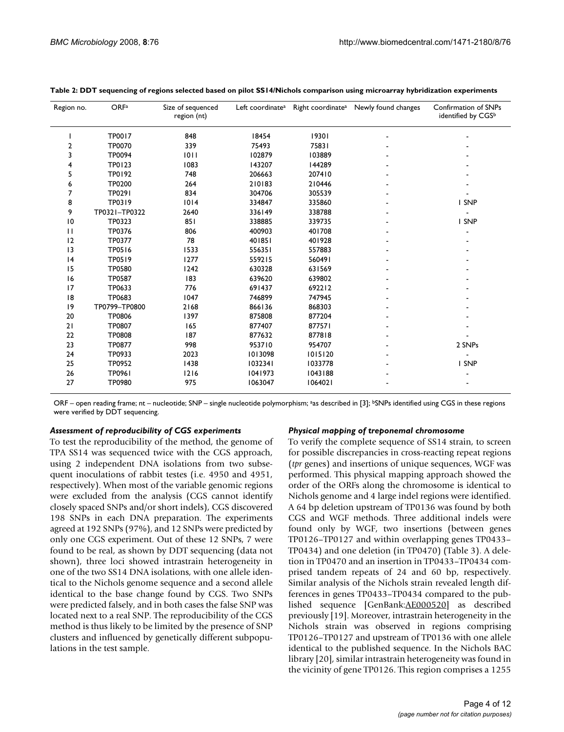| Region no.   | <b>ORFa</b>   | Size of sequenced<br>region (nt) | Left coordinate <sup>a</sup> |         | Right coordinate <sup>a</sup> Newly found changes | Confirmation of SNPs<br>identified by CGSb |
|--------------|---------------|----------------------------------|------------------------------|---------|---------------------------------------------------|--------------------------------------------|
|              | <b>TP0017</b> | 848                              | 18454                        | 19301   |                                                   |                                            |
| 2            | <b>TP0070</b> | 339                              | 75493                        | 75831   |                                                   |                                            |
| 3            | <b>TP0094</b> | 1011                             | 102879                       | 103889  |                                                   |                                            |
| 4            | TP0123        | 1083                             | 143207                       | 144289  |                                                   |                                            |
| 5            | TP0192        | 748                              | 206663                       | 207410  |                                                   |                                            |
| 6            | <b>TP0200</b> | 264                              | 210183                       | 210446  |                                                   |                                            |
| 7            | TP0291        | 834                              | 304706                       | 305539  |                                                   |                                            |
| 8            | TP0319        | 1014                             | 334847                       | 335860  |                                                   | I SNP                                      |
| 9            | TP0321-TP0322 | 2640                             | 336149                       | 338788  |                                                   |                                            |
| 10           | TP0323        | 851                              | 338885                       | 339735  |                                                   | I SNP                                      |
| $\mathbf{H}$ | TP0376        | 806                              | 400903                       | 401708  |                                                   |                                            |
| 12           | TP0377        | 78                               | 401851                       | 401928  |                                                   |                                            |
| 3            | TP0516        | 1533                             | 556351                       | 557883  |                                                   |                                            |
| 4            | TP0519        | 1277                             | 559215                       | 560491  |                                                   |                                            |
| 15           | <b>TP0580</b> | 1242                             | 630328                       | 631569  |                                                   |                                            |
| 16           | <b>TP0587</b> | 183                              | 639620                       | 639802  |                                                   |                                            |
| 17           | TP0633        | 776                              | 691437                       | 692212  |                                                   |                                            |
| 18           | TP0683        | 1047                             | 746899                       | 747945  |                                                   |                                            |
| 9            | TP0799-TP0800 | 2168                             | 866136                       | 868303  |                                                   |                                            |
| 20           | TP0806        | 1397                             | 875808                       | 877204  |                                                   |                                            |
| 21           | <b>TP0807</b> | 165                              | 877407                       | 877571  |                                                   |                                            |
| 22           | <b>TP0808</b> | 187                              | 877632                       | 877818  |                                                   |                                            |
| 23           | <b>TP0877</b> | 998                              | 953710                       | 954707  |                                                   | 2 SNPs                                     |
| 24           | TP0933        | 2023                             | 1013098                      | 1015120 |                                                   |                                            |
| 25           | TP0952        | 1438                             | 1032341                      | 1033778 |                                                   | I SNP                                      |
| 26           | TP0961        | 1216                             | 1041973                      | 1043188 |                                                   |                                            |
| 27           | <b>TP0980</b> | 975                              | 1063047                      | 1064021 |                                                   |                                            |

|  | Table 2: DDT sequencing of regions selected based on pilot SS14/Nichols comparison using microarray hybridization experiments |  |  |  |
|--|-------------------------------------------------------------------------------------------------------------------------------|--|--|--|
|  |                                                                                                                               |  |  |  |
|  |                                                                                                                               |  |  |  |
|  |                                                                                                                               |  |  |  |

ORF – open reading frame; nt – nucleotide; SNP – single nucleotide polymorphism; <sup>a</sup>as described in [3]; <sup>b</sup>SNPs identified using CGS in these regions were verified by DDT sequencing.

#### *Assessment of reproducibility of CGS experiments*

To test the reproducibility of the method, the genome of TPA SS14 was sequenced twice with the CGS approach, using 2 independent DNA isolations from two subsequent inoculations of rabbit testes (i.e. 4950 and 4951, respectively). When most of the variable genomic regions were excluded from the analysis (CGS cannot identify closely spaced SNPs and/or short indels), CGS discovered 198 SNPs in each DNA preparation. The experiments agreed at 192 SNPs (97%), and 12 SNPs were predicted by only one CGS experiment. Out of these 12 SNPs, 7 were found to be real, as shown by DDT sequencing (data not shown), three loci showed intrastrain heterogeneity in one of the two SS14 DNA isolations, with one allele identical to the Nichols genome sequence and a second allele identical to the base change found by CGS. Two SNPs were predicted falsely, and in both cases the false SNP was located next to a real SNP. The reproducibility of the CGS method is thus likely to be limited by the presence of SNP clusters and influenced by genetically different subpopulations in the test sample.

### *Physical mapping of treponemal chromosome*

To verify the complete sequence of SS14 strain, to screen for possible discrepancies in cross-reacting repeat regions (*tpr* genes) and insertions of unique sequences, WGF was performed. This physical mapping approach showed the order of the ORFs along the chromosome is identical to Nichols genome and 4 large indel regions were identified. A 64 bp deletion upstream of TP0136 was found by both CGS and WGF methods. Three additional indels were found only by WGF, two insertions (between genes TP0126–TP0127 and within overlapping genes TP0433– TP0434) and one deletion (in TP0470) (Table 3). A deletion in TP0470 and an insertion in TP0433–TP0434 comprised tandem repeats of 24 and 60 bp, respectively. Similar analysis of the Nichols strain revealed length differences in genes TP0433–TP0434 compared to the published sequence [GenBank:AE000520] as described previously [19]. Moreover, intrastrain heterogeneity in the Nichols strain was observed in regions comprising TP0126–TP0127 and upstream of TP0136 with one allele identical to the published sequence. In the Nichols BAC library [20], similar intrastrain heterogeneity was found in the vicinity of gene TP0126. This region comprises a 1255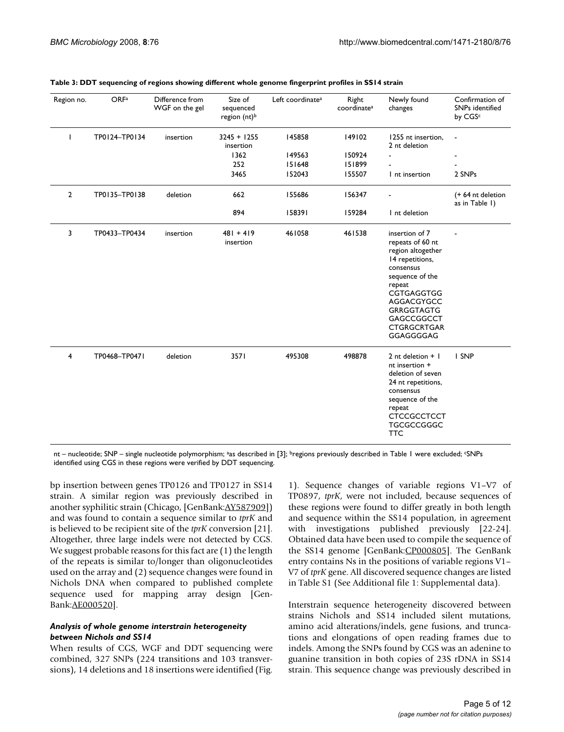| Region no.     | OR <sub>Fa</sub> | Difference from<br>WGF on the gel | Size of<br>sequenced<br>region (nt) <sup>b</sup> | Left coordinate <sup>a</sup> | Right<br>coordinate <sup>a</sup> | Newly found<br>changes                                                                                                                                                                                                 | Confirmation of<br>SNPs identified<br>by CGSc |
|----------------|------------------|-----------------------------------|--------------------------------------------------|------------------------------|----------------------------------|------------------------------------------------------------------------------------------------------------------------------------------------------------------------------------------------------------------------|-----------------------------------------------|
| ı              | TP0124-TP0134    | insertion                         | $3245 + 1255$<br>insertion                       | 145858                       | 149102                           | 1255 nt insertion.<br>2 nt deletion                                                                                                                                                                                    |                                               |
|                |                  |                                   | 1362                                             | 149563                       | 150924                           |                                                                                                                                                                                                                        |                                               |
|                |                  |                                   | 252                                              | 151648                       | 151899                           |                                                                                                                                                                                                                        |                                               |
|                |                  |                                   | 3465                                             | 152043                       | 155507                           | I nt insertion                                                                                                                                                                                                         | 2 SNPs                                        |
| $\overline{2}$ | TP0135-TP0138    | deletion                          | 662                                              | 155686                       | 156347                           |                                                                                                                                                                                                                        | (+64 nt deletion<br>as in Table 1)            |
|                |                  |                                   | 894                                              | 158391                       | 159284                           | I nt deletion                                                                                                                                                                                                          |                                               |
| 3              | TP0433-TP0434    | insertion                         | $481 + 419$<br>insertion                         | 461058                       | 461538                           | insertion of 7<br>repeats of 60 nt<br>region altogether<br>14 repetitions,<br>consensus<br>sequence of the<br>repeat<br>CGTGAGGTGG<br>AGGACGYGCC<br><b>GRRGGTAGTG</b><br>GAGCCGGCCT<br><b>CTGRGCRTGAR</b><br>GGAGGGGAG |                                               |
| 4              | TP0468-TP0471    | deletion                          | 3571                                             | 495308                       | 498878                           | 2 nt deletion $+$  <br>nt insertion +<br>deletion of seven<br>24 nt repetitions,<br>consensus<br>sequence of the<br>repeat<br><b>CTCCGCCTCCT</b><br><b>TGCGCCGGGC</b><br><b>TTC</b>                                    | I SNP                                         |

#### **Table 3: DDT sequencing of regions showing different whole genome fingerprint profiles in SS14 strain**

nt – nucleotide; SNP – single nucleotide polymorphism; <sup>a</sup>as described in [3]; <sup>b</sup>regions previously described in Table 1 were excluded; *cSNPs* identified using CGS in these regions were verified by DDT sequencing.

bp insertion between genes TP0126 and TP0127 in SS14 strain. A similar region was previously described in another syphilitic strain (Chicago, [GenBank:AY587909]) and was found to contain a sequence similar to *tprK* and is believed to be recipient site of the *tprK* conversion [21]. Altogether, three large indels were not detected by CGS. We suggest probable reasons for this fact are  $(1)$  the length of the repeats is similar to/longer than oligonucleotides used on the array and (2) sequence changes were found in Nichols DNA when compared to published complete sequence used for mapping array design [Gen-Bank:AE000520].

# *Analysis of whole genome interstrain heterogeneity between Nichols and SS14*

When results of CGS, WGF and DDT sequencing were combined, 327 SNPs (224 transitions and 103 transversions), 14 deletions and 18 insertions were identified (Fig.

1). Sequence changes of variable regions V1–V7 of TP0897, *tprK*, were not included, because sequences of these regions were found to differ greatly in both length and sequence within the SS14 population, in agreement with investigations published previously [22-24]. Obtained data have been used to compile the sequence of the SS14 genome [GenBank:CP000805]. The GenBank entry contains Ns in the positions of variable regions V1– V7 of *tprK* gene. All discovered sequence changes are listed in Table S1 (See Additional file 1: Supplemental data).

Interstrain sequence heterogeneity discovered between strains Nichols and SS14 included silent mutations, amino acid alterations/indels, gene fusions, and truncations and elongations of open reading frames due to indels. Among the SNPs found by CGS was an adenine to guanine transition in both copies of 23S rDNA in SS14 strain. This sequence change was previously described in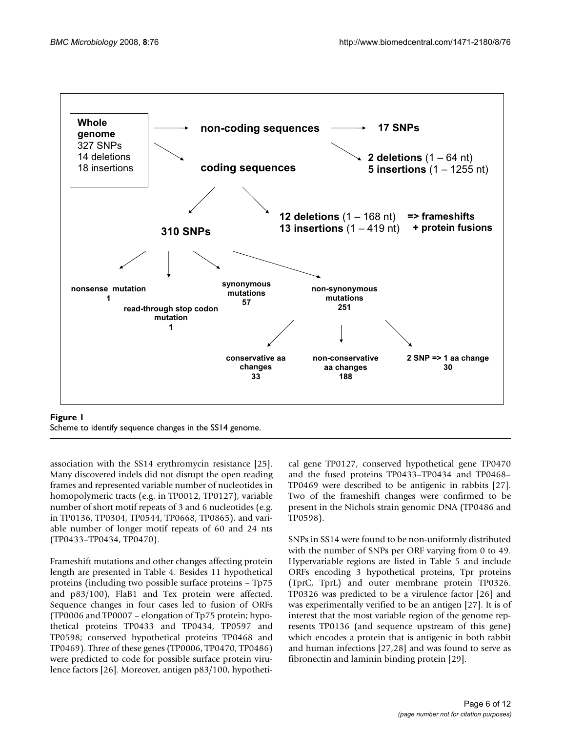

Scheme to identify sequence changes in the SS14 genome.

association with the SS14 erythromycin resistance [25]. Many discovered indels did not disrupt the open reading frames and represented variable number of nucleotides in homopolymeric tracts (e.g. in TP0012, TP0127), variable number of short motif repeats of 3 and 6 nucleotides (e.g. in TP0136, TP0304, TP0544, TP0668, TP0865), and variable number of longer motif repeats of 60 and 24 nts (TP0433–TP0434, TP0470).

Frameshift mutations and other changes affecting protein length are presented in Table 4. Besides 11 hypothetical proteins (including two possible surface proteins – Tp75 and p83/100), FlaB1 and Tex protein were affected. Sequence changes in four cases led to fusion of ORFs (TP0006 and TP0007 – elongation of Tp75 protein; hypothetical proteins TP0433 and TP0434, TP0597 and TP0598; conserved hypothetical proteins TP0468 and TP0469). Three of these genes (TP0006, TP0470, TP0486) were predicted to code for possible surface protein virulence factors [26]. Moreover, antigen p83/100, hypothetical gene TP0127, conserved hypothetical gene TP0470 and the fused proteins TP0433–TP0434 and TP0468– TP0469 were described to be antigenic in rabbits [27]. Two of the frameshift changes were confirmed to be present in the Nichols strain genomic DNA (TP0486 and TP0598).

SNPs in SS14 were found to be non-uniformly distributed with the number of SNPs per ORF varying from 0 to 49. Hypervariable regions are listed in Table 5 and include ORFs encoding 3 hypothetical proteins, Tpr proteins (TprC, TprL) and outer membrane protein TP0326. TP0326 was predicted to be a virulence factor [26] and was experimentally verified to be an antigen [27]. It is of interest that the most variable region of the genome represents TP0136 (and sequence upstream of this gene) which encodes a protein that is antigenic in both rabbit and human infections [27,28] and was found to serve as fibronectin and laminin binding protein [29].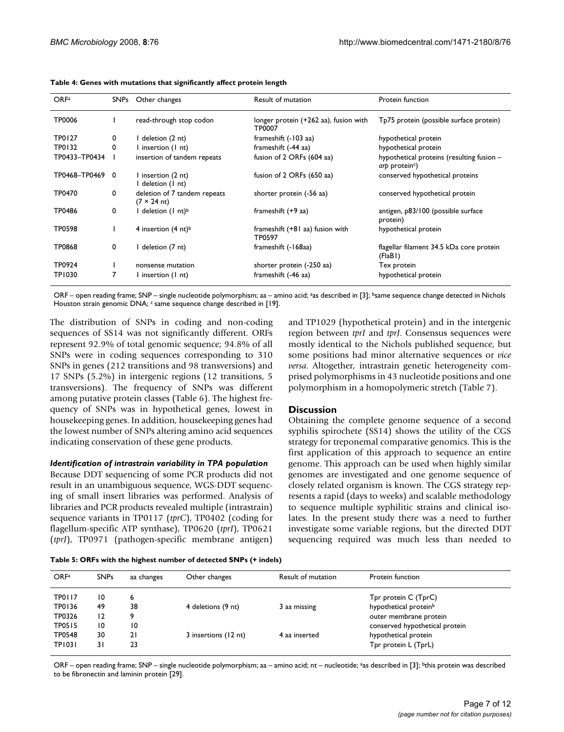| OR <sub>Fa</sub> |          | SNPs Other changes                          | Result of mutation                              | Protein function                                                        |
|------------------|----------|---------------------------------------------|-------------------------------------------------|-------------------------------------------------------------------------|
| TP0006           |          | read-through stop codon                     | longer protein (+262 aa), fusion with<br>TP0007 | Tp75 protein (possible surface protein)                                 |
| <b>TP0127</b>    | 0        | I deletion (2 nt)                           | frameshift (-103 aa)                            | hypothetical protein                                                    |
| TP0132           | 0        | I insertion (I nt)                          | frameshift (-44 aa)                             | hypothetical protein                                                    |
| TP0433-TP0434    |          | insertion of tandem repeats                 | fusion of 2 ORFs (604 aa)                       | hypothetical proteins (resulting fusion -<br>arp protein <sup>c</sup> ) |
| TP0468-TP0469    | $\Omega$ | I insertion (2 nt)<br>I deletion (I nt)     | fusion of 2 ORFs (650 aa)                       | conserved hypothetical proteins                                         |
| TP0470           | 0        | deletion of 7 tandem repeats<br>(7 × 24 nt) | shorter protein (-56 aa)                        | conserved hypothetical protein                                          |
| TP0486           | 0        | I deletion (1 nt) <sup>b</sup>              | frameshift (+9 aa)                              | antigen, p83/100 (possible surface<br>protein)                          |
| TP0598           |          | 4 insertion $(4 \text{ nt})^b$              | frameshift (+81 aa) fusion with<br>TP0597       | hypothetical protein                                                    |
| <b>TP0868</b>    | 0        | I deletion (7 nt)                           | frameshift (-168aa)                             | flagellar filament 34.5 kDa core protein<br>(FlaBI)                     |
| TP0924           |          | nonsense mutation                           | shorter protein (-250 aa)                       | Tex protein                                                             |
| TP1030           |          | l insertion (1 nt)                          | frameshift (-46 aa)                             | hypothetical protein                                                    |

#### **Table 4: Genes with mutations that significantly affect protein length**

ORF – open reading frame; SNP – single nucleotide polymorphism; aa – amino acid; <sup>a</sup>as described in [3]; <sup>b</sup>same sequence change detected in Nichols Houston strain genomic DNA; c same sequence change described in [19].

The distribution of SNPs in coding and non-coding sequences of SS14 was not significantly different. ORFs represent 92.9% of total genomic sequence; 94.8% of all SNPs were in coding sequences corresponding to 310 SNPs in genes (212 transitions and 98 transversions) and 17 SNPs (5.2%) in intergenic regions (12 transitions, 5 transversions). The frequency of SNPs was different among putative protein classes (Table 6). The highest frequency of SNPs was in hypothetical genes, lowest in housekeeping genes. In addition, housekeeping genes had the lowest number of SNPs altering amino acid sequences indicating conservation of these gene products.

# *Identification of intrastrain variability in TPA population*

Because DDT sequencing of some PCR products did not result in an unambiguous sequence, WGS-DDT sequencing of small insert libraries was performed. Analysis of libraries and PCR products revealed multiple (intrastrain) sequence variants in TP0117 (*tprC*), TP0402 (coding for flagellum-specific ATP synthase), TP0620 (*tprI*), TP0621 (*tprJ*), TP0971 (pathogen-specific membrane antigen)

and TP1029 (hypothetical protein) and in the intergenic region between *tprI* and *tprJ*. Consensus sequences were mostly identical to the Nichols published sequence, but some positions had minor alternative sequences or *vice versa*. Altogether, intrastrain genetic heterogeneity comprised polymorphisms in 43 nucleotide positions and one polymorphism in a homopolymeric stretch (Table 7).

# **Discussion**

Obtaining the complete genome sequence of a second syphilis spirochete (SS14) shows the utility of the CGS strategy for treponemal comparative genomics. This is the first application of this approach to sequence an entire genome. This approach can be used when highly similar genomes are investigated and one genome sequence of closely related organism is known. The CGS strategy represents a rapid (days to weeks) and scalable methodology to sequence multiple syphilitic strains and clinical isolates. In the present study there was a need to further investigate some variable regions, but the directed DDT sequencing required was much less than needed to

**Table 5: ORFs with the highest number of detected SNPs (+ indels)**

| OR <sub>Fa</sub>        | <b>SNPs</b> | aa changes | Other changes        | Result of mutation | Protein function                                          |
|-------------------------|-------------|------------|----------------------|--------------------|-----------------------------------------------------------|
| <b>TP0117</b><br>TP0136 | 10<br>49    | 6<br>38    | 4 deletions (9 nt)   | 3 aa missing       | Tpr protein C (TprC)<br>hypothetical protein <sup>b</sup> |
| TP0326                  | 12          |            |                      |                    | outer membrane protein                                    |
| <b>TP0515</b>           | 10          | 10         |                      |                    | conserved hypothetical protein                            |
| TP0548                  | 30          | 21         | 3 insertions (12 nt) | 4 aa inserted      | hypothetical protein                                      |
| TP1031                  | 31          | 23         |                      |                    | Tpr protein L (TprL)                                      |

ORF – open reading frame; SNP – single nucleotide polymorphism; aa – amino acid; nt – nucleotide; <sup>a</sup>as described in [3]; <sup>b</sup>this protein was described to be fibronectin and laminin protein [29].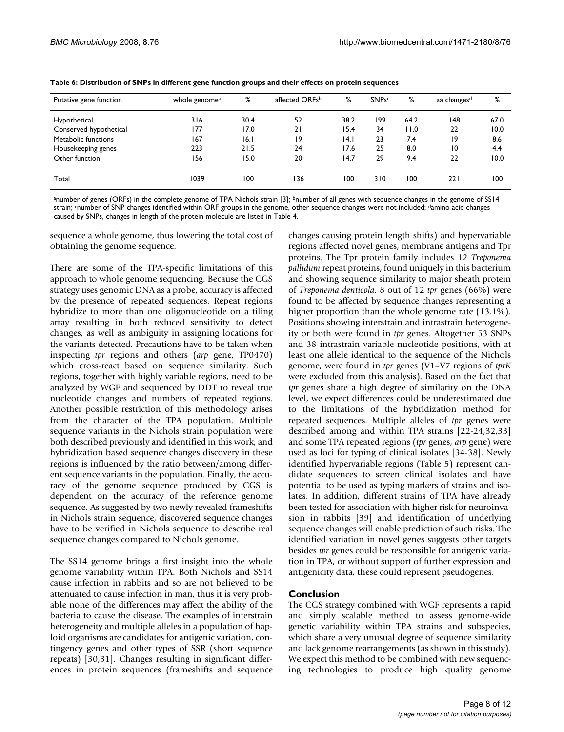| Putative gene function | whole genome <sup>a</sup> | %    | affected ORFsb | %    | <b>SNPsc</b> | %    | aa changes <sup>d</sup> | %    |
|------------------------|---------------------------|------|----------------|------|--------------|------|-------------------------|------|
| Hypothetical           | 316                       | 30.4 | 52             | 38.2 | 199          | 64.2 | 148                     | 67.0 |
| Conserved hypothetical | 177                       | 17.0 | 21             | 15.4 | 34           | 11.0 | 22                      | 10.0 |
| Metabolic functions    | 167                       | 16.I | 19             | 4.1  | 23           | 7.4  | 19                      | 8.6  |
| Housekeeping genes     | 223                       | 21.5 | 24             | 17.6 | 25           | 8.0  | 10                      | 4.4  |
| Other function         | 156                       | 15.0 | 20             | 14.7 | 29           | 9.4  | 22                      | 10.0 |
| Total                  | 1039                      | 100  | 136            | 100  | 310          | 100  | 221                     | 100  |

**Table 6: Distribution of SNPs in different gene function groups and their effects on protein sequences**

anumber of genes (ORFs) in the complete genome of TPA Nichols strain [3]; bnumber of all genes with sequence changes in the genome of SS14 strain; <sup>c</sup>number of SNP changes identified within ORF groups in the genome, other sequence changes were not included; damino acid changes caused by SNPs, changes in length of the protein molecule are listed in Table 4.

sequence a whole genome, thus lowering the total cost of obtaining the genome sequence.

There are some of the TPA-specific limitations of this approach to whole genome sequencing. Because the CGS strategy uses genomic DNA as a probe, accuracy is affected by the presence of repeated sequences. Repeat regions hybridize to more than one oligonucleotide on a tiling array resulting in both reduced sensitivity to detect changes, as well as ambiguity in assigning locations for the variants detected. Precautions have to be taken when inspecting *tpr* regions and others (*arp* gene, TP0470) which cross-react based on sequence similarity. Such regions, together with highly variable regions, need to be analyzed by WGF and sequenced by DDT to reveal true nucleotide changes and numbers of repeated regions. Another possible restriction of this methodology arises from the character of the TPA population. Multiple sequence variants in the Nichols strain population were both described previously and identified in this work, and hybridization based sequence changes discovery in these regions is influenced by the ratio between/among different sequence variants in the population. Finally, the accuracy of the genome sequence produced by CGS is dependent on the accuracy of the reference genome sequence. As suggested by two newly revealed frameshifts in Nichols strain sequence, discovered sequence changes have to be verified in Nichols sequence to describe real sequence changes compared to Nichols genome.

The SS14 genome brings a first insight into the whole genome variability within TPA. Both Nichols and SS14 cause infection in rabbits and so are not believed to be attenuated to cause infection in man, thus it is very probable none of the differences may affect the ability of the bacteria to cause the disease. The examples of interstrain heterogeneity and multiple alleles in a population of haploid organisms are candidates for antigenic variation, contingency genes and other types of SSR (short sequence repeats) [30,31]. Changes resulting in significant differences in protein sequences (frameshifts and sequence changes causing protein length shifts) and hypervariable regions affected novel genes, membrane antigens and Tpr proteins. The Tpr protein family includes 12 *Treponema pallidum* repeat proteins, found uniquely in this bacterium and showing sequence similarity to major sheath protein of *Treponema denticola*. 8 out of 12 *tpr* genes (66%) were found to be affected by sequence changes representing a higher proportion than the whole genome rate (13.1%). Positions showing interstrain and intrastrain heterogeneity or both were found in *tpr* genes. Altogether 53 SNPs and 38 intrastrain variable nucleotide positions, with at least one allele identical to the sequence of the Nichols genome, were found in *tpr* genes (V1–V7 regions of *tprK* were excluded from this analysis). Based on the fact that *tpr* genes share a high degree of similarity on the DNA level, we expect differences could be underestimated due to the limitations of the hybridization method for repeated sequences. Multiple alleles of *tpr* genes were described among and within TPA strains [22-24,32,33] and some TPA repeated regions (*tpr* genes, *arp* gene) were used as loci for typing of clinical isolates [34-38]. Newly identified hypervariable regions (Table 5) represent candidate sequences to screen clinical isolates and have potential to be used as typing markers of strains and isolates. In addition, different strains of TPA have already been tested for association with higher risk for neuroinvasion in rabbits [39] and identification of underlying sequence changes will enable prediction of such risks. The identified variation in novel genes suggests other targets besides *tpr* genes could be responsible for antigenic variation in TPA, or without support of further expression and antigenicity data, these could represent pseudogenes.

# **Conclusion**

The CGS strategy combined with WGF represents a rapid and simply scalable method to assess genome-wide genetic variability within TPA strains and subspecies, which share a very unusual degree of sequence similarity and lack genome rearrangements (as shown in this study). We expect this method to be combined with new sequencing technologies to produce high quality genome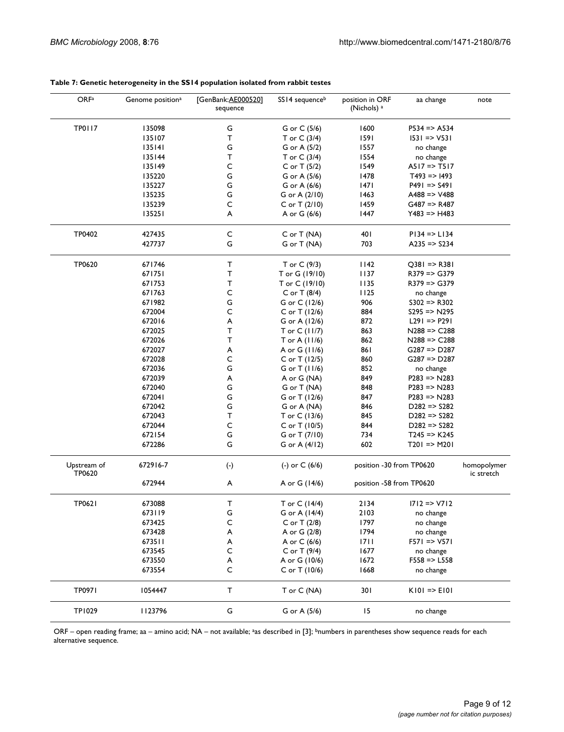| <b>TP0117</b><br>1600<br>135098<br>G<br>G or C (5/6)<br>$P534 \Rightarrow A534$<br>1591<br>135107<br>т<br>T or $C(3/4)$<br>$ 531 \Rightarrow V531$<br>G<br>135141<br>1557<br>G or A (5/2)<br>no change<br>135144<br>т<br>1554<br>T or $C(3/4)$<br>no change<br>C<br>135149<br>1549<br>$A517 \Rightarrow T517$<br>C or T $(5/2)$<br>G<br>1478<br>135220<br>G or A (5/6)<br>$T493 \Rightarrow 1493$<br>G<br> 47 <br>135227<br>G or A (6/6)<br>$P491 \Rightarrow S491$<br>135235<br>G<br>1463<br>G or A (2/10)<br>$A488 = Y488$<br>135239<br>C<br>1459<br>$G487 \Rightarrow R487$<br>C or T (2/10)<br>135251<br>A<br>1447<br>$Y483 = Y4483$<br>A or G (6/6)<br>TP0402<br>427435<br>C<br>401<br>$PI34 = SL134$<br>C or T (NA)<br>G<br>427737<br>703<br>G or T (NA)<br>$A235 \equiv $ S234<br>TP0620<br>671746<br>T<br>T or C (9/3)<br>1142<br>$Q381 = > R381$<br>$\mathsf{T}$<br>671751<br>T or G (19/10)<br>1137<br>$R379 \Rightarrow G379$<br>671753<br>Т<br>1135<br>$R379 \Rightarrow G379$<br>T or C (19/10)<br>671763<br>C<br>1125<br>$C$ or T (8/4)<br>no change<br>G<br>671982<br>906<br>$S302 \Rightarrow R302$<br>G or C (12/6)<br>C<br>672004<br>884<br>C or T $(12/6)$<br>$S295 \Rightarrow N295$<br>672016<br>872<br>A<br>$L291 \Rightarrow P291$<br>G or A (12/6)<br>672025<br>Τ<br>863<br>$N288 = > C288$<br>T or C (11/7)<br>672026<br>Τ<br>862<br>$N288 = > C288$<br>T or A $(11/6)$<br>672027<br>861<br>$G287 \Rightarrow D287$<br>A<br>A or G (11/6)<br>C<br>672028<br>860<br>$G287 \Rightarrow D287$<br>C or T (12/5)<br>G<br>672036<br>852<br>G or T (11/6)<br>no change<br>672039<br>849<br>$P283 \Rightarrow N283$<br>A<br>A or G (NA)<br>672040<br>G<br>848<br>$P283 \Rightarrow N283$<br>G or T (NA)<br>G<br>672041<br>847<br>$P283 \Rightarrow N283$<br>G or T (12/6)<br>G<br>672042<br>846<br>$D282 \Rightarrow S282$<br>G or A (NA)<br>т<br>672043<br>845<br>$D282 \Rightarrow S282$<br>T or C (13/6)<br>C<br>672044<br>844<br>C or T (10/5)<br>$D282 \Rightarrow S282$<br>G<br>734<br>672154<br>G or T (7/10)<br>$T245 \Rightarrow K245$<br>G<br>672286<br>602<br>G or A (4/12)<br>$T201 \Rightarrow M201$<br>Upstream of<br>672916-7<br>$(\cdot)$<br>(-) or $C(6/6)$<br>position -30 from TP0620<br>homopolymer<br>TP0620<br>ic stretch<br>672944<br>A<br>A or G (14/6)<br>position -58 from TP0620<br>т<br>TP0621<br>673088<br>T or C (14/4)<br>2134<br>$1712 \approx 1712$<br>G<br>673119<br>2103<br>G or A (14/4)<br>no change<br>673425<br>C<br>1797<br>C or T (2/8)<br>no change<br>1794<br>673428<br>A<br>A or G (2/8)<br>no change<br>673511<br>A or C (6/6)<br>1711<br>$F571 \Rightarrow V571$<br>A<br>C<br>673545<br>C or T (9/4)<br>1677<br>no change<br>673550<br>A or G (10/6)<br>1672<br>$F558 = > L558$<br>A<br>C<br>673554<br>C or T (10/6)<br>1668<br>no change<br>T<br>TP0971<br>T or C (NA)<br>301<br>1054447<br>$KIO$ => $EIO$<br><b>TP1029</b><br>1123796<br>G<br>G or A (5/6)<br>15<br>no change | OR <sub>Fa</sub> | Genome position <sup>a</sup> | [GenBank:AE000520]<br>sequence | SS14 sequenceb | position in ORF<br>(Nichols) <sup>a</sup> | aa change | note |
|------------------------------------------------------------------------------------------------------------------------------------------------------------------------------------------------------------------------------------------------------------------------------------------------------------------------------------------------------------------------------------------------------------------------------------------------------------------------------------------------------------------------------------------------------------------------------------------------------------------------------------------------------------------------------------------------------------------------------------------------------------------------------------------------------------------------------------------------------------------------------------------------------------------------------------------------------------------------------------------------------------------------------------------------------------------------------------------------------------------------------------------------------------------------------------------------------------------------------------------------------------------------------------------------------------------------------------------------------------------------------------------------------------------------------------------------------------------------------------------------------------------------------------------------------------------------------------------------------------------------------------------------------------------------------------------------------------------------------------------------------------------------------------------------------------------------------------------------------------------------------------------------------------------------------------------------------------------------------------------------------------------------------------------------------------------------------------------------------------------------------------------------------------------------------------------------------------------------------------------------------------------------------------------------------------------------------------------------------------------------------------------------------------------------------------------------------------------------------------------------------------------------------------------------------------------------------------------------------------------------------------------------------------------------------------------------------------------------------------------------------------------------------------------------------------------------------------------------------------------------------------------------------------------------------------------------|------------------|------------------------------|--------------------------------|----------------|-------------------------------------------|-----------|------|
|                                                                                                                                                                                                                                                                                                                                                                                                                                                                                                                                                                                                                                                                                                                                                                                                                                                                                                                                                                                                                                                                                                                                                                                                                                                                                                                                                                                                                                                                                                                                                                                                                                                                                                                                                                                                                                                                                                                                                                                                                                                                                                                                                                                                                                                                                                                                                                                                                                                                                                                                                                                                                                                                                                                                                                                                                                                                                                                                                |                  |                              |                                |                |                                           |           |      |
|                                                                                                                                                                                                                                                                                                                                                                                                                                                                                                                                                                                                                                                                                                                                                                                                                                                                                                                                                                                                                                                                                                                                                                                                                                                                                                                                                                                                                                                                                                                                                                                                                                                                                                                                                                                                                                                                                                                                                                                                                                                                                                                                                                                                                                                                                                                                                                                                                                                                                                                                                                                                                                                                                                                                                                                                                                                                                                                                                |                  |                              |                                |                |                                           |           |      |
|                                                                                                                                                                                                                                                                                                                                                                                                                                                                                                                                                                                                                                                                                                                                                                                                                                                                                                                                                                                                                                                                                                                                                                                                                                                                                                                                                                                                                                                                                                                                                                                                                                                                                                                                                                                                                                                                                                                                                                                                                                                                                                                                                                                                                                                                                                                                                                                                                                                                                                                                                                                                                                                                                                                                                                                                                                                                                                                                                |                  |                              |                                |                |                                           |           |      |
|                                                                                                                                                                                                                                                                                                                                                                                                                                                                                                                                                                                                                                                                                                                                                                                                                                                                                                                                                                                                                                                                                                                                                                                                                                                                                                                                                                                                                                                                                                                                                                                                                                                                                                                                                                                                                                                                                                                                                                                                                                                                                                                                                                                                                                                                                                                                                                                                                                                                                                                                                                                                                                                                                                                                                                                                                                                                                                                                                |                  |                              |                                |                |                                           |           |      |
|                                                                                                                                                                                                                                                                                                                                                                                                                                                                                                                                                                                                                                                                                                                                                                                                                                                                                                                                                                                                                                                                                                                                                                                                                                                                                                                                                                                                                                                                                                                                                                                                                                                                                                                                                                                                                                                                                                                                                                                                                                                                                                                                                                                                                                                                                                                                                                                                                                                                                                                                                                                                                                                                                                                                                                                                                                                                                                                                                |                  |                              |                                |                |                                           |           |      |
|                                                                                                                                                                                                                                                                                                                                                                                                                                                                                                                                                                                                                                                                                                                                                                                                                                                                                                                                                                                                                                                                                                                                                                                                                                                                                                                                                                                                                                                                                                                                                                                                                                                                                                                                                                                                                                                                                                                                                                                                                                                                                                                                                                                                                                                                                                                                                                                                                                                                                                                                                                                                                                                                                                                                                                                                                                                                                                                                                |                  |                              |                                |                |                                           |           |      |
|                                                                                                                                                                                                                                                                                                                                                                                                                                                                                                                                                                                                                                                                                                                                                                                                                                                                                                                                                                                                                                                                                                                                                                                                                                                                                                                                                                                                                                                                                                                                                                                                                                                                                                                                                                                                                                                                                                                                                                                                                                                                                                                                                                                                                                                                                                                                                                                                                                                                                                                                                                                                                                                                                                                                                                                                                                                                                                                                                |                  |                              |                                |                |                                           |           |      |
|                                                                                                                                                                                                                                                                                                                                                                                                                                                                                                                                                                                                                                                                                                                                                                                                                                                                                                                                                                                                                                                                                                                                                                                                                                                                                                                                                                                                                                                                                                                                                                                                                                                                                                                                                                                                                                                                                                                                                                                                                                                                                                                                                                                                                                                                                                                                                                                                                                                                                                                                                                                                                                                                                                                                                                                                                                                                                                                                                |                  |                              |                                |                |                                           |           |      |
|                                                                                                                                                                                                                                                                                                                                                                                                                                                                                                                                                                                                                                                                                                                                                                                                                                                                                                                                                                                                                                                                                                                                                                                                                                                                                                                                                                                                                                                                                                                                                                                                                                                                                                                                                                                                                                                                                                                                                                                                                                                                                                                                                                                                                                                                                                                                                                                                                                                                                                                                                                                                                                                                                                                                                                                                                                                                                                                                                |                  |                              |                                |                |                                           |           |      |
|                                                                                                                                                                                                                                                                                                                                                                                                                                                                                                                                                                                                                                                                                                                                                                                                                                                                                                                                                                                                                                                                                                                                                                                                                                                                                                                                                                                                                                                                                                                                                                                                                                                                                                                                                                                                                                                                                                                                                                                                                                                                                                                                                                                                                                                                                                                                                                                                                                                                                                                                                                                                                                                                                                                                                                                                                                                                                                                                                |                  |                              |                                |                |                                           |           |      |
|                                                                                                                                                                                                                                                                                                                                                                                                                                                                                                                                                                                                                                                                                                                                                                                                                                                                                                                                                                                                                                                                                                                                                                                                                                                                                                                                                                                                                                                                                                                                                                                                                                                                                                                                                                                                                                                                                                                                                                                                                                                                                                                                                                                                                                                                                                                                                                                                                                                                                                                                                                                                                                                                                                                                                                                                                                                                                                                                                |                  |                              |                                |                |                                           |           |      |
|                                                                                                                                                                                                                                                                                                                                                                                                                                                                                                                                                                                                                                                                                                                                                                                                                                                                                                                                                                                                                                                                                                                                                                                                                                                                                                                                                                                                                                                                                                                                                                                                                                                                                                                                                                                                                                                                                                                                                                                                                                                                                                                                                                                                                                                                                                                                                                                                                                                                                                                                                                                                                                                                                                                                                                                                                                                                                                                                                |                  |                              |                                |                |                                           |           |      |
|                                                                                                                                                                                                                                                                                                                                                                                                                                                                                                                                                                                                                                                                                                                                                                                                                                                                                                                                                                                                                                                                                                                                                                                                                                                                                                                                                                                                                                                                                                                                                                                                                                                                                                                                                                                                                                                                                                                                                                                                                                                                                                                                                                                                                                                                                                                                                                                                                                                                                                                                                                                                                                                                                                                                                                                                                                                                                                                                                |                  |                              |                                |                |                                           |           |      |
|                                                                                                                                                                                                                                                                                                                                                                                                                                                                                                                                                                                                                                                                                                                                                                                                                                                                                                                                                                                                                                                                                                                                                                                                                                                                                                                                                                                                                                                                                                                                                                                                                                                                                                                                                                                                                                                                                                                                                                                                                                                                                                                                                                                                                                                                                                                                                                                                                                                                                                                                                                                                                                                                                                                                                                                                                                                                                                                                                |                  |                              |                                |                |                                           |           |      |
|                                                                                                                                                                                                                                                                                                                                                                                                                                                                                                                                                                                                                                                                                                                                                                                                                                                                                                                                                                                                                                                                                                                                                                                                                                                                                                                                                                                                                                                                                                                                                                                                                                                                                                                                                                                                                                                                                                                                                                                                                                                                                                                                                                                                                                                                                                                                                                                                                                                                                                                                                                                                                                                                                                                                                                                                                                                                                                                                                |                  |                              |                                |                |                                           |           |      |
|                                                                                                                                                                                                                                                                                                                                                                                                                                                                                                                                                                                                                                                                                                                                                                                                                                                                                                                                                                                                                                                                                                                                                                                                                                                                                                                                                                                                                                                                                                                                                                                                                                                                                                                                                                                                                                                                                                                                                                                                                                                                                                                                                                                                                                                                                                                                                                                                                                                                                                                                                                                                                                                                                                                                                                                                                                                                                                                                                |                  |                              |                                |                |                                           |           |      |
|                                                                                                                                                                                                                                                                                                                                                                                                                                                                                                                                                                                                                                                                                                                                                                                                                                                                                                                                                                                                                                                                                                                                                                                                                                                                                                                                                                                                                                                                                                                                                                                                                                                                                                                                                                                                                                                                                                                                                                                                                                                                                                                                                                                                                                                                                                                                                                                                                                                                                                                                                                                                                                                                                                                                                                                                                                                                                                                                                |                  |                              |                                |                |                                           |           |      |
|                                                                                                                                                                                                                                                                                                                                                                                                                                                                                                                                                                                                                                                                                                                                                                                                                                                                                                                                                                                                                                                                                                                                                                                                                                                                                                                                                                                                                                                                                                                                                                                                                                                                                                                                                                                                                                                                                                                                                                                                                                                                                                                                                                                                                                                                                                                                                                                                                                                                                                                                                                                                                                                                                                                                                                                                                                                                                                                                                |                  |                              |                                |                |                                           |           |      |
|                                                                                                                                                                                                                                                                                                                                                                                                                                                                                                                                                                                                                                                                                                                                                                                                                                                                                                                                                                                                                                                                                                                                                                                                                                                                                                                                                                                                                                                                                                                                                                                                                                                                                                                                                                                                                                                                                                                                                                                                                                                                                                                                                                                                                                                                                                                                                                                                                                                                                                                                                                                                                                                                                                                                                                                                                                                                                                                                                |                  |                              |                                |                |                                           |           |      |
|                                                                                                                                                                                                                                                                                                                                                                                                                                                                                                                                                                                                                                                                                                                                                                                                                                                                                                                                                                                                                                                                                                                                                                                                                                                                                                                                                                                                                                                                                                                                                                                                                                                                                                                                                                                                                                                                                                                                                                                                                                                                                                                                                                                                                                                                                                                                                                                                                                                                                                                                                                                                                                                                                                                                                                                                                                                                                                                                                |                  |                              |                                |                |                                           |           |      |
|                                                                                                                                                                                                                                                                                                                                                                                                                                                                                                                                                                                                                                                                                                                                                                                                                                                                                                                                                                                                                                                                                                                                                                                                                                                                                                                                                                                                                                                                                                                                                                                                                                                                                                                                                                                                                                                                                                                                                                                                                                                                                                                                                                                                                                                                                                                                                                                                                                                                                                                                                                                                                                                                                                                                                                                                                                                                                                                                                |                  |                              |                                |                |                                           |           |      |
|                                                                                                                                                                                                                                                                                                                                                                                                                                                                                                                                                                                                                                                                                                                                                                                                                                                                                                                                                                                                                                                                                                                                                                                                                                                                                                                                                                                                                                                                                                                                                                                                                                                                                                                                                                                                                                                                                                                                                                                                                                                                                                                                                                                                                                                                                                                                                                                                                                                                                                                                                                                                                                                                                                                                                                                                                                                                                                                                                |                  |                              |                                |                |                                           |           |      |
|                                                                                                                                                                                                                                                                                                                                                                                                                                                                                                                                                                                                                                                                                                                                                                                                                                                                                                                                                                                                                                                                                                                                                                                                                                                                                                                                                                                                                                                                                                                                                                                                                                                                                                                                                                                                                                                                                                                                                                                                                                                                                                                                                                                                                                                                                                                                                                                                                                                                                                                                                                                                                                                                                                                                                                                                                                                                                                                                                |                  |                              |                                |                |                                           |           |      |
|                                                                                                                                                                                                                                                                                                                                                                                                                                                                                                                                                                                                                                                                                                                                                                                                                                                                                                                                                                                                                                                                                                                                                                                                                                                                                                                                                                                                                                                                                                                                                                                                                                                                                                                                                                                                                                                                                                                                                                                                                                                                                                                                                                                                                                                                                                                                                                                                                                                                                                                                                                                                                                                                                                                                                                                                                                                                                                                                                |                  |                              |                                |                |                                           |           |      |
|                                                                                                                                                                                                                                                                                                                                                                                                                                                                                                                                                                                                                                                                                                                                                                                                                                                                                                                                                                                                                                                                                                                                                                                                                                                                                                                                                                                                                                                                                                                                                                                                                                                                                                                                                                                                                                                                                                                                                                                                                                                                                                                                                                                                                                                                                                                                                                                                                                                                                                                                                                                                                                                                                                                                                                                                                                                                                                                                                |                  |                              |                                |                |                                           |           |      |
|                                                                                                                                                                                                                                                                                                                                                                                                                                                                                                                                                                                                                                                                                                                                                                                                                                                                                                                                                                                                                                                                                                                                                                                                                                                                                                                                                                                                                                                                                                                                                                                                                                                                                                                                                                                                                                                                                                                                                                                                                                                                                                                                                                                                                                                                                                                                                                                                                                                                                                                                                                                                                                                                                                                                                                                                                                                                                                                                                |                  |                              |                                |                |                                           |           |      |
|                                                                                                                                                                                                                                                                                                                                                                                                                                                                                                                                                                                                                                                                                                                                                                                                                                                                                                                                                                                                                                                                                                                                                                                                                                                                                                                                                                                                                                                                                                                                                                                                                                                                                                                                                                                                                                                                                                                                                                                                                                                                                                                                                                                                                                                                                                                                                                                                                                                                                                                                                                                                                                                                                                                                                                                                                                                                                                                                                |                  |                              |                                |                |                                           |           |      |
|                                                                                                                                                                                                                                                                                                                                                                                                                                                                                                                                                                                                                                                                                                                                                                                                                                                                                                                                                                                                                                                                                                                                                                                                                                                                                                                                                                                                                                                                                                                                                                                                                                                                                                                                                                                                                                                                                                                                                                                                                                                                                                                                                                                                                                                                                                                                                                                                                                                                                                                                                                                                                                                                                                                                                                                                                                                                                                                                                |                  |                              |                                |                |                                           |           |      |
|                                                                                                                                                                                                                                                                                                                                                                                                                                                                                                                                                                                                                                                                                                                                                                                                                                                                                                                                                                                                                                                                                                                                                                                                                                                                                                                                                                                                                                                                                                                                                                                                                                                                                                                                                                                                                                                                                                                                                                                                                                                                                                                                                                                                                                                                                                                                                                                                                                                                                                                                                                                                                                                                                                                                                                                                                                                                                                                                                |                  |                              |                                |                |                                           |           |      |
|                                                                                                                                                                                                                                                                                                                                                                                                                                                                                                                                                                                                                                                                                                                                                                                                                                                                                                                                                                                                                                                                                                                                                                                                                                                                                                                                                                                                                                                                                                                                                                                                                                                                                                                                                                                                                                                                                                                                                                                                                                                                                                                                                                                                                                                                                                                                                                                                                                                                                                                                                                                                                                                                                                                                                                                                                                                                                                                                                |                  |                              |                                |                |                                           |           |      |
|                                                                                                                                                                                                                                                                                                                                                                                                                                                                                                                                                                                                                                                                                                                                                                                                                                                                                                                                                                                                                                                                                                                                                                                                                                                                                                                                                                                                                                                                                                                                                                                                                                                                                                                                                                                                                                                                                                                                                                                                                                                                                                                                                                                                                                                                                                                                                                                                                                                                                                                                                                                                                                                                                                                                                                                                                                                                                                                                                |                  |                              |                                |                |                                           |           |      |
|                                                                                                                                                                                                                                                                                                                                                                                                                                                                                                                                                                                                                                                                                                                                                                                                                                                                                                                                                                                                                                                                                                                                                                                                                                                                                                                                                                                                                                                                                                                                                                                                                                                                                                                                                                                                                                                                                                                                                                                                                                                                                                                                                                                                                                                                                                                                                                                                                                                                                                                                                                                                                                                                                                                                                                                                                                                                                                                                                |                  |                              |                                |                |                                           |           |      |
|                                                                                                                                                                                                                                                                                                                                                                                                                                                                                                                                                                                                                                                                                                                                                                                                                                                                                                                                                                                                                                                                                                                                                                                                                                                                                                                                                                                                                                                                                                                                                                                                                                                                                                                                                                                                                                                                                                                                                                                                                                                                                                                                                                                                                                                                                                                                                                                                                                                                                                                                                                                                                                                                                                                                                                                                                                                                                                                                                |                  |                              |                                |                |                                           |           |      |
|                                                                                                                                                                                                                                                                                                                                                                                                                                                                                                                                                                                                                                                                                                                                                                                                                                                                                                                                                                                                                                                                                                                                                                                                                                                                                                                                                                                                                                                                                                                                                                                                                                                                                                                                                                                                                                                                                                                                                                                                                                                                                                                                                                                                                                                                                                                                                                                                                                                                                                                                                                                                                                                                                                                                                                                                                                                                                                                                                |                  |                              |                                |                |                                           |           |      |
|                                                                                                                                                                                                                                                                                                                                                                                                                                                                                                                                                                                                                                                                                                                                                                                                                                                                                                                                                                                                                                                                                                                                                                                                                                                                                                                                                                                                                                                                                                                                                                                                                                                                                                                                                                                                                                                                                                                                                                                                                                                                                                                                                                                                                                                                                                                                                                                                                                                                                                                                                                                                                                                                                                                                                                                                                                                                                                                                                |                  |                              |                                |                |                                           |           |      |
|                                                                                                                                                                                                                                                                                                                                                                                                                                                                                                                                                                                                                                                                                                                                                                                                                                                                                                                                                                                                                                                                                                                                                                                                                                                                                                                                                                                                                                                                                                                                                                                                                                                                                                                                                                                                                                                                                                                                                                                                                                                                                                                                                                                                                                                                                                                                                                                                                                                                                                                                                                                                                                                                                                                                                                                                                                                                                                                                                |                  |                              |                                |                |                                           |           |      |
|                                                                                                                                                                                                                                                                                                                                                                                                                                                                                                                                                                                                                                                                                                                                                                                                                                                                                                                                                                                                                                                                                                                                                                                                                                                                                                                                                                                                                                                                                                                                                                                                                                                                                                                                                                                                                                                                                                                                                                                                                                                                                                                                                                                                                                                                                                                                                                                                                                                                                                                                                                                                                                                                                                                                                                                                                                                                                                                                                |                  |                              |                                |                |                                           |           |      |
|                                                                                                                                                                                                                                                                                                                                                                                                                                                                                                                                                                                                                                                                                                                                                                                                                                                                                                                                                                                                                                                                                                                                                                                                                                                                                                                                                                                                                                                                                                                                                                                                                                                                                                                                                                                                                                                                                                                                                                                                                                                                                                                                                                                                                                                                                                                                                                                                                                                                                                                                                                                                                                                                                                                                                                                                                                                                                                                                                |                  |                              |                                |                |                                           |           |      |
|                                                                                                                                                                                                                                                                                                                                                                                                                                                                                                                                                                                                                                                                                                                                                                                                                                                                                                                                                                                                                                                                                                                                                                                                                                                                                                                                                                                                                                                                                                                                                                                                                                                                                                                                                                                                                                                                                                                                                                                                                                                                                                                                                                                                                                                                                                                                                                                                                                                                                                                                                                                                                                                                                                                                                                                                                                                                                                                                                |                  |                              |                                |                |                                           |           |      |
|                                                                                                                                                                                                                                                                                                                                                                                                                                                                                                                                                                                                                                                                                                                                                                                                                                                                                                                                                                                                                                                                                                                                                                                                                                                                                                                                                                                                                                                                                                                                                                                                                                                                                                                                                                                                                                                                                                                                                                                                                                                                                                                                                                                                                                                                                                                                                                                                                                                                                                                                                                                                                                                                                                                                                                                                                                                                                                                                                |                  |                              |                                |                |                                           |           |      |
|                                                                                                                                                                                                                                                                                                                                                                                                                                                                                                                                                                                                                                                                                                                                                                                                                                                                                                                                                                                                                                                                                                                                                                                                                                                                                                                                                                                                                                                                                                                                                                                                                                                                                                                                                                                                                                                                                                                                                                                                                                                                                                                                                                                                                                                                                                                                                                                                                                                                                                                                                                                                                                                                                                                                                                                                                                                                                                                                                |                  |                              |                                |                |                                           |           |      |
|                                                                                                                                                                                                                                                                                                                                                                                                                                                                                                                                                                                                                                                                                                                                                                                                                                                                                                                                                                                                                                                                                                                                                                                                                                                                                                                                                                                                                                                                                                                                                                                                                                                                                                                                                                                                                                                                                                                                                                                                                                                                                                                                                                                                                                                                                                                                                                                                                                                                                                                                                                                                                                                                                                                                                                                                                                                                                                                                                |                  |                              |                                |                |                                           |           |      |
|                                                                                                                                                                                                                                                                                                                                                                                                                                                                                                                                                                                                                                                                                                                                                                                                                                                                                                                                                                                                                                                                                                                                                                                                                                                                                                                                                                                                                                                                                                                                                                                                                                                                                                                                                                                                                                                                                                                                                                                                                                                                                                                                                                                                                                                                                                                                                                                                                                                                                                                                                                                                                                                                                                                                                                                                                                                                                                                                                |                  |                              |                                |                |                                           |           |      |
|                                                                                                                                                                                                                                                                                                                                                                                                                                                                                                                                                                                                                                                                                                                                                                                                                                                                                                                                                                                                                                                                                                                                                                                                                                                                                                                                                                                                                                                                                                                                                                                                                                                                                                                                                                                                                                                                                                                                                                                                                                                                                                                                                                                                                                                                                                                                                                                                                                                                                                                                                                                                                                                                                                                                                                                                                                                                                                                                                |                  |                              |                                |                |                                           |           |      |

# **Table 7: Genetic heterogeneity in the SS14 population isolated from rabbit testes**

ORF – open reading frame; aa – amino acid; NA – not available; <sup>a</sup>as described in [3]; <sup>b</sup>numbers in parentheses show sequence reads for each alternative sequence.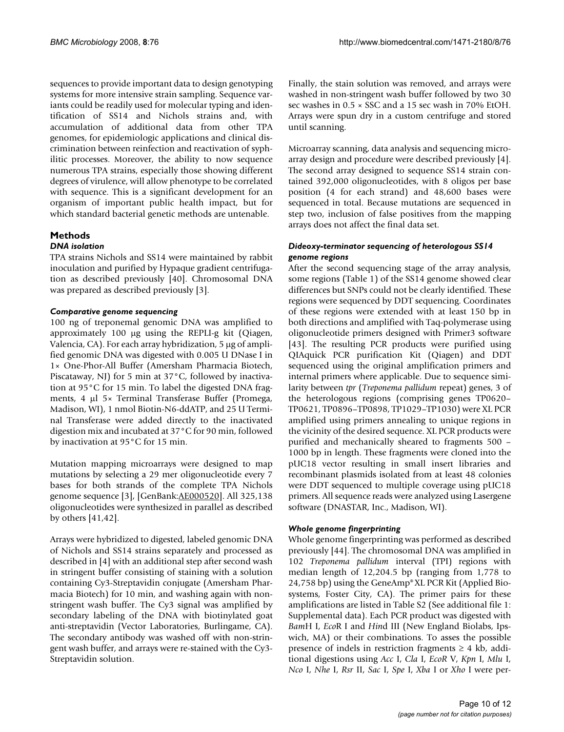sequences to provide important data to design genotyping systems for more intensive strain sampling. Sequence variants could be readily used for molecular typing and identification of SS14 and Nichols strains and, with accumulation of additional data from other TPA genomes, for epidemiologic applications and clinical discrimination between reinfection and reactivation of syphilitic processes. Moreover, the ability to now sequence numerous TPA strains, especially those showing different degrees of virulence, will allow phenotype to be correlated with sequence. This is a significant development for an organism of important public health impact, but for which standard bacterial genetic methods are untenable.

# **Methods**

# *DNA isolation*

TPA strains Nichols and SS14 were maintained by rabbit inoculation and purified by Hypaque gradient centrifugation as described previously [40]. Chromosomal DNA was prepared as described previously [3].

# *Comparative genome sequencing*

100 ng of treponemal genomic DNA was amplified to approximately 100  $\mu$ g using the REPLI-g kit (Qiagen, Valencia, CA). For each array hybridization,  $5 \mu$ g of amplified genomic DNA was digested with 0.005 U DNase I in 1× One-Phor-All Buffer (Amersham Pharmacia Biotech, Piscataway, NJ) for 5 min at 37°C, followed by inactivation at 95°C for 15 min. To label the digested DNA fragments, 4  $\mu$ l 5× Terminal Transferase Buffer (Promega, Madison, WI), 1 nmol Biotin-N6-ddATP, and 25 U Terminal Transferase were added directly to the inactivated digestion mix and incubated at 37°C for 90 min, followed by inactivation at 95°C for 15 min.

Mutation mapping microarrays were designed to map mutations by selecting a 29 mer oligonucleotide every 7 bases for both strands of the complete TPA Nichols genome sequence [3], [GenBank:AE000520]. All 325,138 oligonucleotides were synthesized in parallel as described by others [41,42].

Arrays were hybridized to digested, labeled genomic DNA of Nichols and SS14 strains separately and processed as described in [4] with an additional step after second wash in stringent buffer consisting of staining with a solution containing Cy3-Streptavidin conjugate (Amersham Pharmacia Biotech) for 10 min, and washing again with nonstringent wash buffer. The Cy3 signal was amplified by secondary labeling of the DNA with biotinylated goat anti-streptavidin (Vector Laboratories, Burlingame, CA). The secondary antibody was washed off with non-stringent wash buffer, and arrays were re-stained with the Cy3- Streptavidin solution.

Finally, the stain solution was removed, and arrays were washed in non-stringent wash buffer followed by two 30 sec washes in 0.5 × SSC and a 15 sec wash in 70% EtOH. Arrays were spun dry in a custom centrifuge and stored until scanning.

Microarray scanning, data analysis and sequencing microarray design and procedure were described previously [4]. The second array designed to sequence SS14 strain contained 392,000 oligonucleotides, with 8 oligos per base position (4 for each strand) and 48,600 bases were sequenced in total. Because mutations are sequenced in step two, inclusion of false positives from the mapping arrays does not affect the final data set.

# *Dideoxy-terminator sequencing of heterologous SS14 genome regions*

After the second sequencing stage of the array analysis, some regions (Table 1) of the SS14 genome showed clear differences but SNPs could not be clearly identified. These regions were sequenced by DDT sequencing. Coordinates of these regions were extended with at least 150 bp in both directions and amplified with Taq-polymerase using oligonucleotide primers designed with Primer3 software [43]. The resulting PCR products were purified using QIAquick PCR purification Kit (Qiagen) and DDT sequenced using the original amplification primers and internal primers where applicable. Due to sequence similarity between *tpr* (*Treponema pallidum* repeat) genes, 3 of the heterologous regions (comprising genes TP0620– TP0621, TP0896–TP0898, TP1029–TP1030) were XL PCR amplified using primers annealing to unique regions in the vicinity of the desired sequence. XL PCR products were purified and mechanically sheared to fragments 500 – 1000 bp in length. These fragments were cloned into the pUC18 vector resulting in small insert libraries and recombinant plasmids isolated from at least 48 colonies were DDT sequenced to multiple coverage using pUC18 primers. All sequence reads were analyzed using Lasergene software (DNASTAR, Inc., Madison, WI).

# *Whole genome fingerprinting*

Whole genome fingerprinting was performed as described previously [44]. The chromosomal DNA was amplified in 102 *Treponema pallidum* interval (TPI) regions with median length of 12,204.5 bp (ranging from 1,778 to 24,758 bp) using the GeneAmp® XL PCR Kit (Applied Biosystems, Foster City, CA). The primer pairs for these amplifications are listed in Table S2 (See additional file 1: Supplemental data). Each PCR product was digested with *Bam*H I, *Eco*R I and *Hin*d III (New England Biolabs, Ipswich, MA) or their combinations. To asses the possible presence of indels in restriction fragments  $\geq 4$  kb, additional digestions using *Acc* I, *Cla* I, *EcoR* V, *Kpn* I, *Mlu* I, *Nco* I, *Nhe* I, *Rsr* II, *Sac* I, *Spe* I, *Xba* I or *Xho* I were per-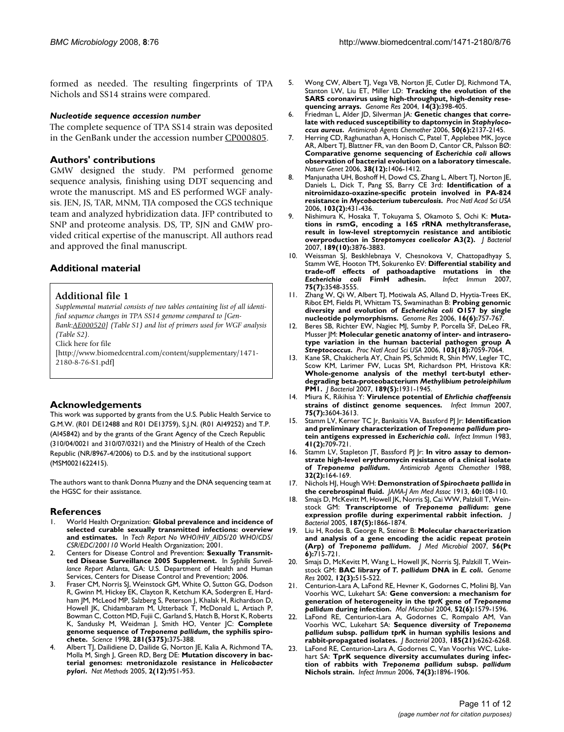formed as needed. The resulting fingerprints of TPA Nichols and SS14 strains were compared.

### *Nucleotide sequence accession number*

The complete sequence of TPA SS14 strain was deposited in the GenBank under the accession number CP000805.

# **Authors' contributions**

GMW designed the study. PM performed genome sequence analysis, finishing using DDT sequencing and wrote the manuscript. MS and ES performed WGF analysis. JEN, JS, TAR, MNM, TJA composed the CGS technique team and analyzed hybridization data. JFP contributed to SNP and proteome analysis. DS, TP, SJN and GMW provided critical expertise of the manuscript. All authors read and approved the final manuscript.

# **Additional material**

# **Additional file 1**

*Supplemental material consists of two tables containing list of all identified sequence changes in TPA SS14 genome compared to [Gen-Bank:AE000520] (Table S1) and list of primers used for WGF analysis* 

*(Table S2).*

Click here for file

[http://www.biomedcentral.com/content/supplementary/1471- 2180-8-76-S1.pdf]

# **Acknowledgements**

This work was supported by grants from the U.S. Public Health Service to G.M.W. (R01 DE12488 and R01 DE13759), S.J.N. (R01 AI49252) and T.P. (AI45842) and by the grants of the Grant Agency of the Czech Republic (310/04/0021 and 310/07/0321) and the Ministry of Health of the Czech Republic (NR/8967-4/2006) to D.S. and by the institutional support (MSM0021622415).

The authors want to thank Donna Muzny and the DNA sequencing team at the HGSC for their assistance.

# **References**

- 1. World Health Organization: **Global prevalence and incidence of selected curable sexually transmitted infections: overview and estimates.** In *Tech Report No WHO/HIV\_AIDS/20 WHO/CDS/ CSR/EDC/200110* World Health Organization; 2001.
- 2. Centers for Disease Control and Prevention: **Sexually Transmitted Disease Surveillance 2005 Supplement.** In *Syphilis Surveillance Report* Atlanta, GA: U.S. Department of Health and Human Services, Centers for Disease Control and Prevention; 2006.
- 3. Fraser CM, Norris SJ, Weinstock GM, White O, Sutton GG, Dodson R, Gwinn M, Hickey EK, Clayton R, Ketchum KA, Sodergren E, Hardham JM, McLeod MP, Salzberg S, Peterson J, Khalak H, Richardson D, Howell JK, Chidambaram M, Utterback T, McDonald L, Artiach P, Bowman C, Cotton MD, Fujii C, Garland S, Hatch B, Horst K, Roberts K, Sandusky M, Weidman J, Smith HO, Venter JC: **Complete genome sequence of** *Treponema pallidum***, the syphilis spirochete.** *Science* 1998, **281(5375):**375-388.
- 4. Albert TJ, Dailidiene D, Dailide G, Norton JE, Kalia A, Richmond TA, Molla M, Singh J, Green RD, Berg DE: **Mutation discovery in bacterial genomes: metronidazole resistance in** *Helicobacter pylori***.** *Nat Methods* 2005, **2(12):**951-953.
- 5. Wong CW, Albert TJ, Vega VB, Norton JE, Cutler DJ, Richmond TA, Stanton LW, Liu ET, Miller LD: **Tracking the evolution of the SARS coronavirus using high-throughput, high-density resequencing arrays.** *Genome Res* 2004, **14(3):**398-405.
- 6. Friedman L, Alder JD, Silverman JA: **Genetic changes that correlate with reduced susceptibility to daptomycin in** *Staphylococcus aureus***.** *Antimicrob Agents Chemother* 2006, **50(6):**2137-2145.
- 7. Herring CD, Raghunathan A, Honisch C, Patel T, Applebee MK, Joyce AR, Albert TJ, Blattner FR, van den Boom D, Cantor CR, Palsson BØ: **Comparative genome sequencing of** *Escherichia coli* **allows observation of bacterial evolution on a laboratory timescale.** *Nature Genet* 2006, **38(12):**1406-1412.
- 8. Manjunatha UH, Boshoff H, Dowd CS, Zhang L, Albert TJ, Norton JE, Daniels L, Dick T, Pang SS, Barry CE 3rd: **Identification of a nitroimidazo-oxazine-specific protein involved in PA-824 resistance in** *Mycobacterium tuberculosis***.** *Proc Natl Acad Sci USA* 2006, **103(2):**431-436.
- 9. Nishimura K, Hosaka T, Tokuyama S, Okamoto S, Ochi K: **Mutations in rsmG, encoding a 16S rRNA methyltransferase, result in low-level streptomycin resistance and antibiotic overproduction in** *Streptomyces coelicolor* **A3(2).** *J Bacteriol* 2007, **189(10):**3876-3883.
- 10. Weissman SJ, Beskhlebnaya V, Chesnokova V, Chattopadhyay S, Stamm WE, Hooton TM, Sokurenko EV: **Differential stability and trade-off effects of pathoadaptive mutations in the** *Escherichia coli* **FimH adhesin.** *Infect Immun* 2007, **75(7):**3548-3555.
- 11. Zhang W, Qi W, Albert TJ, Motiwala AS, Alland D, Hyytia-Trees EK, Ribot EM, Fields PI, Whittam TS, Swaminathan B: **Probing genomic diversity and evolution of** *Escherichia coli* **O157 by single nucleotide polymorphisms.** *Genome Res* 2006, **16(6):**757-767.
- Beres SB, Richter EW, Nagiec MJ, Sumby P, Porcella SF, DeLeo FR, Musser JM: **Molecular genetic anatomy of inter- and intraserotype variation in the human bacterial pathogen group A** *Streptococcus***.** *Proc Natl Acad Sci USA* 2006, **103(18):**7059-7064.
- 13. Kane SR, Chakicherla AY, Chain PS, Schmidt R, Shin MW, Legler TC, Scow KM, Larimer FW, Lucas SM, Richardson PM, Hristova KR: **Whole-genome analysis of the methyl tert-butyl etherdegrading beta-proteobacterium** *Methylibium petroleiphilum* **PM1.** *J Bacteriol* 2007, **189(5):**1931-1945.
- 14. Miura K, Rikihisa Y: **Virulence potential of** *Ehrlichia chaffeensis* **strains of distinct genome sequences.** *Infect Immun* 2007, **75(7):**3604-3613.
- 15. Stamm LV, Kerner TC Jr, Bankaitis VA, Bassford PJ Jr: **Identification and preliminary characterization of** *Treponema pallidum* **protein antigens expressed in** *Escherichia coli***.** *Infect Immun* 1983, **41(2):**709-721.
- 16. Stamm LV, Stapleton JT, Bassford PJ Jr: **In vitro assay to demonstrate high-level erythromycin resistance of a clinical isolate of** *Treponema pallidum***.** *Antimicrob Agents Chemother* 1988, **32(2):**164-169.
- 17. Nichols HJ, Hough WH: **Demonstration of** *Spirochaeta pallida* **in the cerebrospinal fluid.** *JAMA-J Am Med Assoc* 1913, **60:**108-110.
- 18. Smajs D, McKevitt M, Howell JK, Norris SJ, Cai WW, Palzkill T, Weinstock GM: **Transcriptome of** *Treponema pallidum***: gene expression profile during experimental rabbit infection.** *J Bacteriol* 2005, **187(5):**1866-1874.
- 19. Liu H, Rodes B, George R, Steiner B: **Molecular characterization and analysis of a gene encoding the acidic repeat protein (Arp) of** *Treponema pallidum***.** *J Med Microbiol* 2007, **56(Pt 6):**715-721.
- 20. Smajs D, McKevitt M, Wang L, Howell JK, Norris SJ, Palzkill T, Weinstock GM: **BAC library of** *T. pallidum* **DNA in** *E. coli***.** *Genome Res* 2002, **12(3):**515-522.
- 21. Centurion-Lara A, LaFond RE, Hevner K, Godornes C, Molini BJ, Van Voorhis WC, Lukehart SA: **Gene conversion: a mechanism for generation of heterogeneity in the** *tprK* **gene of** *Treponema pallidum* **during infection.** *Mol Microbiol* 2004, **52(6):**1579-1596.
- LaFond RE, Centurion-Lara A, Godornes C, Rompalo AM, Van Voorhis WC, Lukehart SA: **Sequence diversity of** *Treponema pallidum* **subsp.** *pallidum tpr***K in human syphilis lesions and rabbit-propagated isolates.** *J Bacteriol* 2003, **185(21):**6262-6268.
- LaFond RE, Centurion-Lara A, Godornes C, Van Voorhis WC, Lukehart SA: **TprK sequence diversity accumulates during infection of rabbits with** *Treponema pallidum* **subsp.** *pallidum* **Nichols strain.** *Infect Immun* 2006, **74(3):**1896-1906.